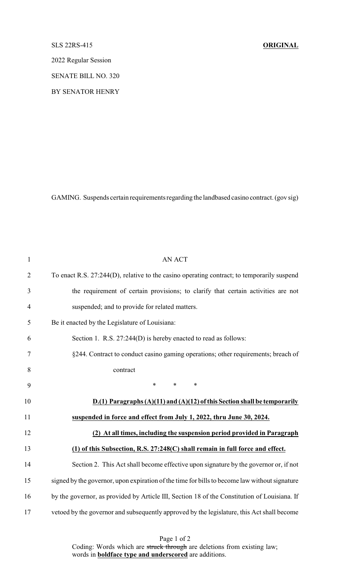## SLS 22RS-415 **ORIGINAL**

2022 Regular Session

SENATE BILL NO. 320

BY SENATOR HENRY

GAMING. Suspends certain requirements regarding the landbased casino contract. (gov sig)

| $\mathbf{1}$   | <b>AN ACT</b>                                                                                 |
|----------------|-----------------------------------------------------------------------------------------------|
| $\overline{2}$ | To enact R.S. 27:244(D), relative to the casino operating contract; to temporarily suspend    |
| $\mathfrak{Z}$ | the requirement of certain provisions; to clarify that certain activities are not             |
| $\overline{4}$ | suspended; and to provide for related matters.                                                |
| 5              | Be it enacted by the Legislature of Louisiana:                                                |
| 6              | Section 1. R.S. 27:244(D) is hereby enacted to read as follows:                               |
| $\tau$         | §244. Contract to conduct casino gaming operations; other requirements; breach of             |
| 8              | contract                                                                                      |
| 9              | $\ast$<br>*<br>$\ast$                                                                         |
| 10             | $D(1)$ Paragraphs $(A)(11)$ and $(A)(12)$ of this Section shall be temporarily                |
| 11             | suspended in force and effect from July 1, 2022, thru June 30, 2024.                          |
| 12             | (2) At all times, including the suspension period provided in Paragraph                       |
| 13             | (1) of this Subsection, R.S. 27:248(C) shall remain in full force and effect.                 |
| 14             | Section 2. This Act shall become effective upon signature by the governor or, if not          |
| 15             | signed by the governor, upon expiration of the time for bills to become law without signature |
| 16             | by the governor, as provided by Article III, Section 18 of the Constitution of Louisiana. If  |
| 17             | vetoed by the governor and subsequently approved by the legislature, this Act shall become    |

Page 1 of 2 Coding: Words which are struck through are deletions from existing law; words in **boldface type and underscored** are additions.